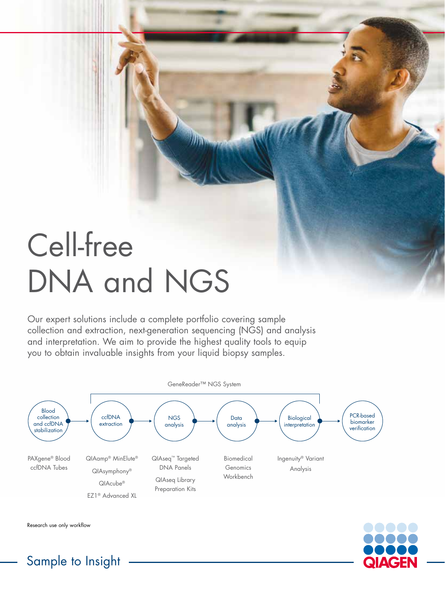# Cell-free DNA and NGS

Our expert solutions include a complete portfolio covering sample collection and extraction, next-generation sequencing (NGS) and analysis and interpretation. We aim to provide the highest quality tools to equip you to obtain invaluable insights from your liquid biopsy samples.



AGE

Research use only workflow

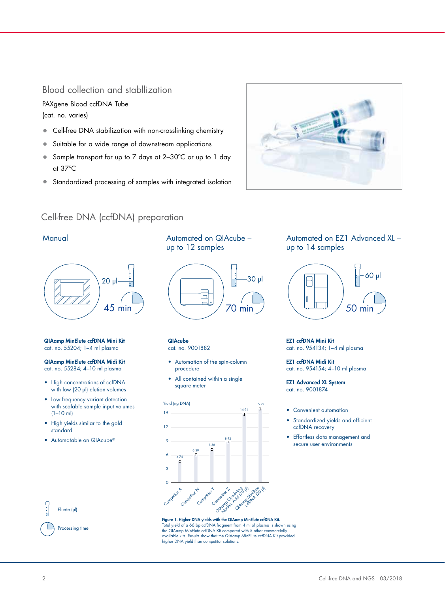## Blood collection and stabllization

PAXgene Blood ccfDNA Tube (cat. no. varies)

- Cell-free DNA stabilization with non-crosslinking chemistry
- Suitable for a wide range of downstream applications
- Sample transport for up to 7 days at 2-30°C or up to 1 day at 37ºC
- Standardized processing of samples with integrated isolation



## Cell-free DNA (ccfDNA) preparation



QIAamp MinElute ccfDNA Mini Kit cat. no. 55204; 1–4 ml plasma

#### QIAamp MinElute ccfDNA Midi Kit cat. no. 55284; 4–10 ml plasma

- High concentrations of ccfDNA with low (20 μl) elution volumes
- Low frequency variant detection with scalable sample input volumes (1–10 ml)
- High yields similar to the gold standard
- Automatable on QIAcube®

Eluate (µl)

Processing time





**QIAcube** cat. no. 9001882

- Automation of the spin-column procedure
- All contained within a single square meter

#### Yield (ng DNA)



15.72

Figure 1. Higher DNA yields with the QIAamp MinElute ccfDNA Kit. Total yield of a 66 bp ccfDNA fragment from 4 ml of plasma is shown using the QIAamp MinElute ccfDNA Kit compared with 5 other commercially available kits. Results show that the QIAamp MinElute ccfDNA Kit provided higher DNA yield than competitor solutions.

Automated on EZ1 Advanced XL – up to 14 samples



EZ1 ccfDNA Mini Kit cat. no. 954134; 1–4 ml plasma

EZ1 ccfDNA Midi Kit cat. no. 954154; 4–10 ml plasma

- EZ1 Advanced XL System cat. no. 9001874
- Convenient automation
- Standardized yields and efficient ccfDNA recovery
- Effortless data management and secure user environments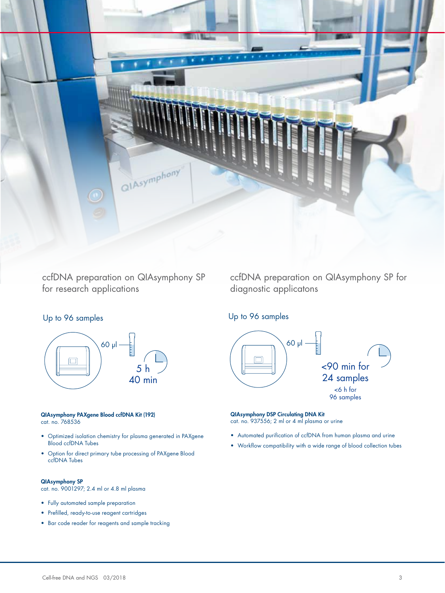

ccfDNA preparation on QIAsymphony SP for research applications

## ccfDNA preparation on QIAsymphony SP for diagnostic applicatons

<90 min for 24 samples <6 h for 96 samples

## Up to 96 samples



#### QIAsymphony PAXgene Blood ccfDNA Kit (192) cat. no. 768536

- Optimized isolation chemistry for plasma generated in PAXgene Blood ccfDNA Tubes
- Option for direct primary tube processing of PAXgene Blood ccfDNA Tubes

#### QIAsymphony SP

cat. no. 9001297; 2.4 ml or 4.8 ml plasma

- Fully automated sample preparation
- Prefilled, ready-to-use reagent cartridges
- Bar code reader for reagents and sample tracking

#### QIAsymphony DSP Circulating DNA Kit cat. no. 937556; 2 ml or 4 ml plasma or urine

 $(60 \text{ pl} -$ 

Up to 96 samples

- Automated purification of ccfDNA from human plasma and urine
- Workflow compatibility with a wide range of blood collection tubes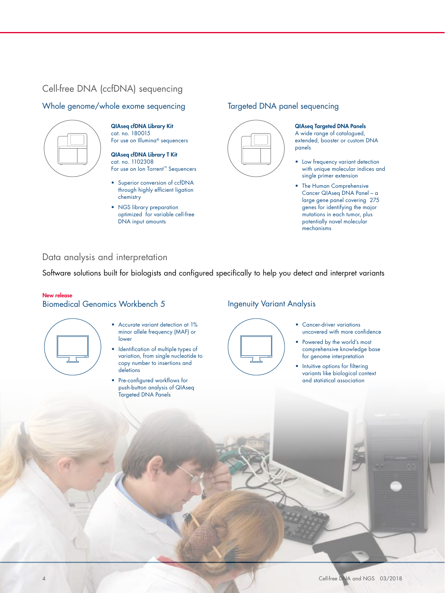## Cell-free DNA (ccfDNA) sequencing

#### Whole genome/whole exome sequencing



QIAseq cfDNA Library Kit cat. no. 180015 For use on Illumina® sequencers

QIAseq cfDNA Library T Kit cat. no. 1102308 For use on Ion Torrent ™ Sequencers

- Superior conversion of ccfDNA through highly efficient ligation chemistry
- NGS library preparation optimized for variable cell-free DNA input amounts

### Targeted DNA panel sequencing



#### QIAseq Targeted DNA Panels

A wide range of catalogued, extended, booster or custom DNA panels

- Low frequency variant detection with unique molecular indices and single primer extension
- The Human Comprehensive Cancer QIAseq DNA Panel – a large gene panel covering 275 genes for identifying the major mutations in each tumor, plus potentially novel molecular mechanisms

## Data analysis and interpretation

Software solutions built for biologists and configured specifically to help you detect and interpret variants

#### New release

## Biomedical Genomics Workbench 5



- Accurate variant detection at 1% minor allele frequency (MAF) or lower
- Identification of multiple types of variation, from single nucleotide to copy number to insertions and deletions
- Pre-configured workflows for push-button analysis of QIAseq Targeted DNA Panels

#### Ingenuity Variant Analysis

- Cancer-driver variations uncovered with more confidence
- Powered by the world's most comprehensive knowledge base for genome interpretation
- Intuitive options for filtering variants like biological context and statistical association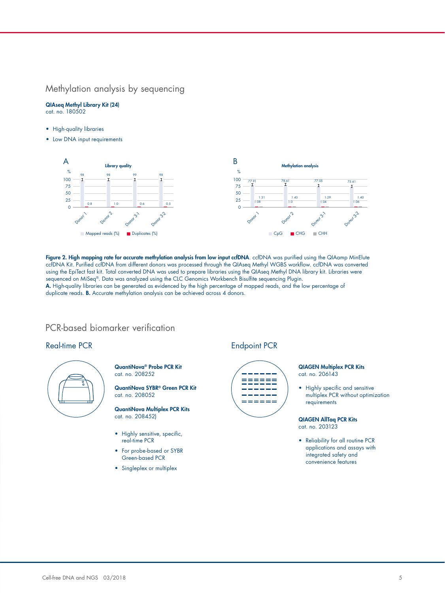## Methylation analysis by sequencing

QIAseq Methyl Library Kit (24) cat. no. 180502

- High-quality libraries
- Low DNA input requirements



Figure 2. High mapping rate for accurate methylation analysis from low input ccfDNA. ccfDNA was purified using the QIAamp MinElute ccfDNA Kit. Purified ccfDNA from different donors was processed through the QIAseq Methyl WGBS workflow. ccfDNA was converted using the EpiTect fast kit. Total converted DNA was used to prepare libraries using the QIAseq Methyl DNA library kit. Libraries were sequenced on MiSeq®. Data was analyzed using the CLC Genomics Workbench Bisulfite sequencing Plugin. A. High-quality libraries can be generated as evidenced by the high percentage of mapped reads, and the low percentage of duplicate reads. B. Accurate methylation analysis can be achieved across 4 donors.

## PCR-based biomarker verification

#### Real-time PCR



QuantiNova® Probe PCR Kit cat. no. 208252

QuantiNova SYBR® Green PCR Kit cat. no. 208052

QuantiNova Multiplex PCR Kits cat. no. 208452)

- Highly sensitive, specific, real-time PCR
- For probe-based or SYBR Green-based PCR
- Singleplex or multiplex

Endpoint PCR



#### QIAGEN Multiplex PCR Kits cat. no. 206143

• Highly specific and sensitive multiplex PCR without optimization requirements

QIAGEN AllTaq PCR Kits cat. no. 203123

• Reliability for all routine PCR applications and assays with integrated safety and convenience features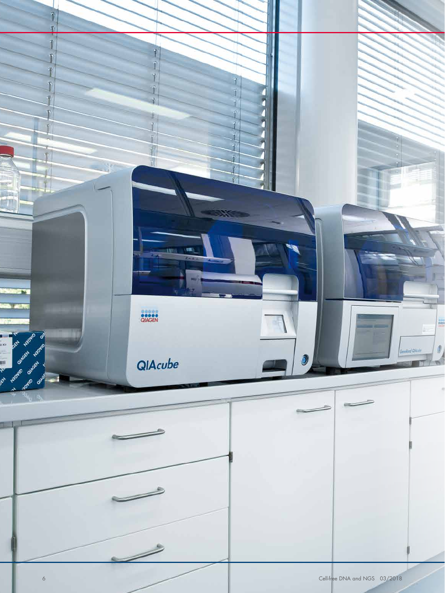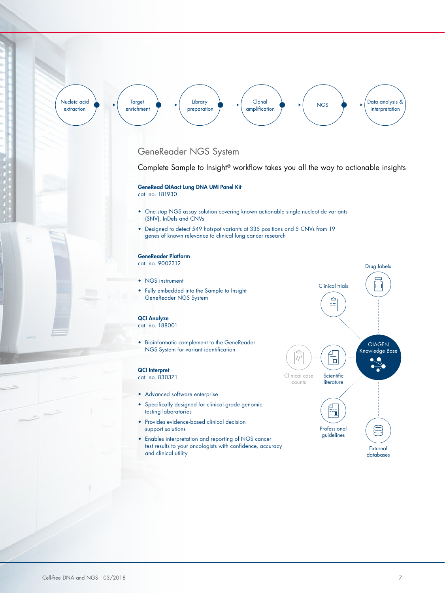Library preparation Clonal  $\begin{pmatrix} \text{Cloud} \\ \text{amplification} \end{pmatrix} \longrightarrow \begin{pmatrix} \text{NGS} \\ \text{NGS} \end{pmatrix} \longrightarrow \begin{pmatrix} \text{Data analysis & \text{S.}} \\ \text{interpretation} \end{pmatrix}$ interpretation **Target** enrichment Nucleic acid extraction

## GeneReader NGS System

Complete Sample to Insight® workflow takes you all the way to actionable insights

GeneRead QIAact Lung DNA UMI Panel Kit cat. no. 181930

- One-stop NGS assay solution covering known actionable single nucleotide variants (SNV), InDels and CNVs
- Designed to detect 549 hotspot variants at 335 positions and 5 CNVs from 19 genes of known relevance to clinical lung cancer research

#### GeneReader Platform

cat. no. 9002312

- NGS instrument
- Fully embedded into the Sample to Insight GeneReader NGS System

#### QCI Analyze

cat. no. 188001

• Bioinformatic complement to the GeneReader NGS System for variant identification

#### QCI Interpret

cat. no. 830371

- Advanced software enterprise
- Specifically designed for clinical-grade genomic testing laboratories
- Provides evidence-based clinical decision support solutions
- Enables interpretation and reporting of NGS cancer test results to your oncologists with confidence, accuracy and clinical utility